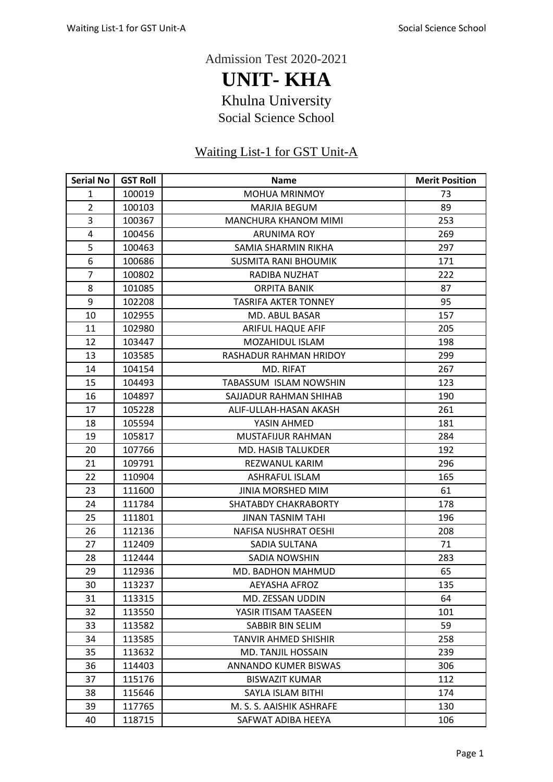Admission Test 2020-2021

**UNIT- KHA** Khulna University Social Science School

## Waiting List-1 for GST Unit-A

| <b>Serial No</b> | <b>GST Roll</b> | <b>Name</b>                 | <b>Merit Position</b> |
|------------------|-----------------|-----------------------------|-----------------------|
| $\mathbf{1}$     | 100019          | MOHUA MRINMOY               | 73                    |
| $\overline{2}$   | 100103          | <b>MARJIA BEGUM</b>         | 89                    |
| 3                | 100367          | MANCHURA KHANOM MIMI        | 253                   |
| 4                | 100456          | <b>ARUNIMA ROY</b>          | 269                   |
| 5                | 100463          | SAMIA SHARMIN RIKHA         | 297                   |
| 6                | 100686          | <b>SUSMITA RANI BHOUMIK</b> | 171                   |
| $\overline{7}$   | 100802          | RADIBA NUZHAT               | 222                   |
| 8                | 101085          | <b>ORPITA BANIK</b>         | 87                    |
| 9                | 102208          | <b>TASRIFA AKTER TONNEY</b> | 95                    |
| 10               | 102955          | MD. ABUL BASAR              | 157                   |
| 11               | 102980          | <b>ARIFUL HAQUE AFIF</b>    | 205                   |
| 12               | 103447          | <b>MOZAHIDUL ISLAM</b>      | 198                   |
| 13               | 103585          | RASHADUR RAHMAN HRIDOY      | 299                   |
| 14               | 104154          | MD. RIFAT                   | 267                   |
| 15               | 104493          | TABASSUM ISLAM NOWSHIN      | 123                   |
| 16               | 104897          | SAJJADUR RAHMAN SHIHAB      | 190                   |
| 17               | 105228          | ALIF-ULLAH-HASAN AKASH      | 261                   |
| 18               | 105594          | YASIN AHMED                 | 181                   |
| 19               | 105817          | MUSTAFIJUR RAHMAN           | 284                   |
| 20               | 107766          | MD. HASIB TALUKDER          | 192                   |
| 21               | 109791          | REZWANUL KARIM              | 296                   |
| 22               | 110904          | <b>ASHRAFUL ISLAM</b>       | 165                   |
| 23               | 111600          | <b>JINIA MORSHED MIM</b>    | 61                    |
| 24               | 111784          | SHATABDY CHAKRABORTY        | 178                   |
| 25               | 111801          | <b>JINAN TASNIM TAHI</b>    | 196                   |
| 26               | 112136          | NAFISA NUSHRAT OESHI        | 208                   |
| 27               | 112409          | SADIA SULTANA               | 71                    |
| 28               | 112444          | <b>SADIA NOWSHIN</b>        | 283                   |
| 29               | 112936          | MD. BADHON MAHMUD           | 65                    |
| 30               | 113237          | <b>AEYASHA AFROZ</b>        | 135                   |
| 31               | 113315          | MD. ZESSAN UDDIN            | 64                    |
| 32               | 113550          | YASIR ITISAM TAASEEN        | 101                   |
| 33               | 113582          | SABBIR BIN SELIM            | 59                    |
| 34               | 113585          | <b>TANVIR AHMED SHISHIR</b> | 258                   |
| 35               | 113632          | MD. TANJIL HOSSAIN          | 239                   |
| 36               | 114403          | ANNANDO KUMER BISWAS        | 306                   |
| 37               | 115176          | <b>BISWAZIT KUMAR</b>       | 112                   |
| 38               | 115646          | SAYLA ISLAM BITHI           | 174                   |
| 39               | 117765          | M. S. S. AAISHIK ASHRAFE    | 130                   |
| 40               | 118715          | SAFWAT ADIBA HEEYA          | 106                   |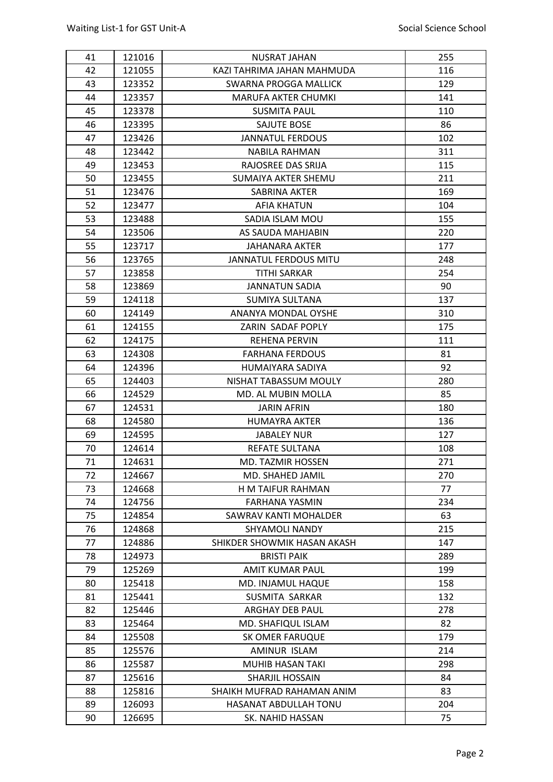| 41 | 121016 | <b>NUSRAT JAHAN</b>          | 255 |
|----|--------|------------------------------|-----|
| 42 | 121055 | KAZI TAHRIMA JAHAN MAHMUDA   | 116 |
| 43 | 123352 | SWARNA PROGGA MALLICK        | 129 |
| 44 | 123357 | <b>MARUFA AKTER CHUMKI</b>   | 141 |
| 45 | 123378 | <b>SUSMITA PAUL</b>          | 110 |
| 46 | 123395 | SAJUTE BOSE                  | 86  |
| 47 | 123426 | <b>JANNATUL FERDOUS</b>      | 102 |
| 48 | 123442 | <b>NABILA RAHMAN</b>         | 311 |
| 49 | 123453 | RAJOSREE DAS SRIJA           | 115 |
| 50 | 123455 | SUMAIYA AKTER SHEMU          | 211 |
| 51 | 123476 | SABRINA AKTER                | 169 |
| 52 | 123477 | <b>AFIA KHATUN</b>           | 104 |
| 53 | 123488 | SADIA ISLAM MOU              | 155 |
| 54 | 123506 | AS SAUDA MAHJABIN            | 220 |
| 55 | 123717 | JAHANARA AKTER               | 177 |
| 56 | 123765 | <b>JANNATUL FERDOUS MITU</b> | 248 |
| 57 | 123858 | <b>TITHI SARKAR</b>          | 254 |
| 58 | 123869 | <b>JANNATUN SADIA</b>        | 90  |
| 59 | 124118 | <b>SUMIYA SULTANA</b>        | 137 |
| 60 | 124149 | ANANYA MONDAL OYSHE          | 310 |
| 61 | 124155 | ZARIN SADAF POPLY            | 175 |
| 62 | 124175 | REHENA PERVIN                | 111 |
| 63 | 124308 | <b>FARHANA FERDOUS</b>       | 81  |
| 64 | 124396 | HUMAIYARA SADIYA             | 92  |
| 65 | 124403 | NISHAT TABASSUM MOULY        | 280 |
| 66 | 124529 | MD. AL MUBIN MOLLA           | 85  |
| 67 | 124531 | <b>JARIN AFRIN</b>           | 180 |
| 68 | 124580 | <b>HUMAYRA AKTER</b>         | 136 |
| 69 | 124595 | <b>JABALEY NUR</b>           | 127 |
| 70 | 124614 | REFATE SULTANA               | 108 |
| 71 | 124631 | <b>MD. TAZMIR HOSSEN</b>     | 271 |
| 72 | 124667 | MD. SHAHED JAMIL             | 270 |
| 73 | 124668 | H M TAIFUR RAHMAN            | 77  |
| 74 | 124756 | FARHANA YASMIN               | 234 |
| 75 | 124854 | SAWRAV KANTI MOHALDER        | 63  |
| 76 | 124868 | <b>SHYAMOLI NANDY</b>        | 215 |
| 77 | 124886 | SHIKDER SHOWMIK HASAN AKASH  | 147 |
| 78 | 124973 | <b>BRISTI PAIK</b>           | 289 |
| 79 | 125269 | <b>AMIT KUMAR PAUL</b>       | 199 |
| 80 | 125418 | MD. INJAMUL HAQUE            | 158 |
| 81 | 125441 | SUSMITA SARKAR               | 132 |
| 82 | 125446 | ARGHAY DEB PAUL              | 278 |
| 83 | 125464 | MD. SHAFIQUL ISLAM           | 82  |
| 84 | 125508 | SK OMER FARUQUE              | 179 |
| 85 | 125576 | AMINUR ISLAM                 | 214 |
| 86 | 125587 | MUHIB HASAN TAKI             | 298 |
| 87 | 125616 | SHARJIL HOSSAIN              | 84  |
| 88 | 125816 | SHAIKH MUFRAD RAHAMAN ANIM   | 83  |
| 89 | 126093 | HASANAT ABDULLAH TONU        | 204 |
| 90 | 126695 | SK. NAHID HASSAN             | 75  |
|    |        |                              |     |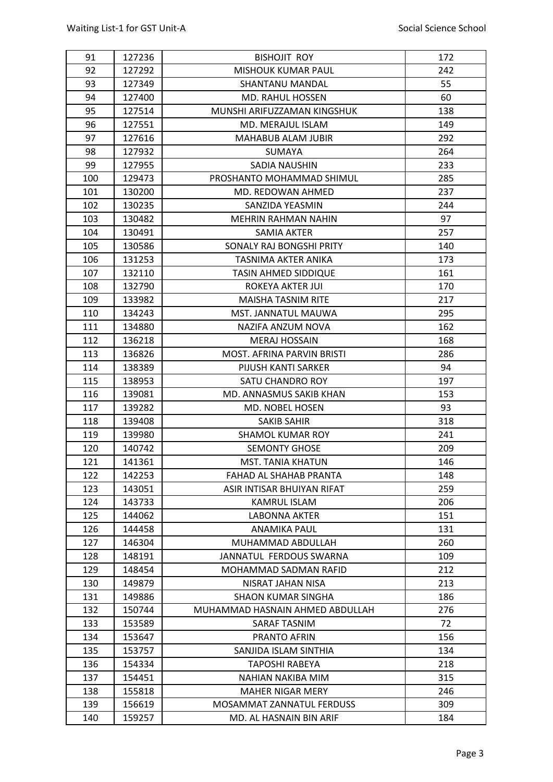| 91         | 127236           | <b>BISHOJIT ROY</b>                               | 172        |
|------------|------------------|---------------------------------------------------|------------|
| 92         | 127292           | <b>MISHOUK KUMAR PAUL</b>                         | 242        |
| 93         | 127349           | <b>SHANTANU MANDAL</b>                            | 55         |
| 94         | 127400           | <b>MD. RAHUL HOSSEN</b>                           | 60         |
| 95         | 127514           | MUNSHI ARIFUZZAMAN KINGSHUK                       | 138        |
| 96         | 127551           | MD. MERAJUL ISLAM                                 | 149        |
| 97         | 127616           | <b>MAHABUB ALAM JUBIR</b>                         | 292        |
| 98         | 127932           | <b>SUMAYA</b>                                     | 264        |
| 99         | 127955           | SADIA NAUSHIN                                     | 233        |
| 100        | 129473           | PROSHANTO MOHAMMAD SHIMUL                         | 285        |
| 101        | 130200           | MD. REDOWAN AHMED                                 | 237        |
| 102        | 130235           | SANZIDA YEASMIN                                   | 244        |
| 103        | 130482           | <b>MEHRIN RAHMAN NAHIN</b>                        | 97         |
| 104        | 130491           | SAMIA AKTER                                       | 257        |
| 105        | 130586           | SONALY RAJ BONGSHI PRITY                          | 140        |
| 106        | 131253           | TASNIMA AKTER ANIKA                               | 173        |
| 107        | 132110           | TASIN AHMED SIDDIQUE                              | 161        |
| 108        | 132790           | ROKEYA AKTER JUI                                  | 170        |
| 109        | 133982           | <b>MAISHA TASNIM RITE</b>                         | 217        |
| 110        | 134243           | <b>MST. JANNATUL MAUWA</b>                        | 295        |
| 111        | 134880           | NAZIFA ANZUM NOVA                                 | 162        |
| 112        | 136218           | <b>MERAJ HOSSAIN</b>                              | 168        |
| 113        | 136826           | MOST. AFRINA PARVIN BRISTI                        | 286        |
| 114        | 138389           | PIJUSH KANTI SARKER                               | 94         |
| 115        | 138953           | SATU CHANDRO ROY                                  | 197        |
|            |                  |                                                   |            |
|            |                  |                                                   |            |
| 116<br>117 | 139081<br>139282 | MD. ANNASMUS SAKIB KHAN<br>MD. NOBEL HOSEN        | 153<br>93  |
|            | 139408           | <b>SAKIB SAHIR</b>                                |            |
| 118        |                  | <b>SHAMOL KUMAR ROY</b>                           | 318<br>241 |
| 119<br>120 | 139980<br>140742 | <b>SEMONTY GHOSE</b>                              | 209        |
| 121        | 141361           | <b>MST. TANIA KHATUN</b>                          | 146        |
|            |                  |                                                   |            |
| 122        | 142253           | FAHAD AL SHAHAB PRANTA                            | 148        |
| 123        | 143051<br>143733 | ASIR INTISAR BHUIYAN RIFAT<br><b>KAMRUL ISLAM</b> | 259<br>206 |
| 124        |                  |                                                   | 151        |
| 125        | 144062           | LABONNA AKTER<br>ANAMIKA PAUL                     | 131        |
| 126<br>127 | 144458<br>146304 | MUHAMMAD ABDULLAH                                 | 260        |
|            |                  | JANNATUL FERDOUS SWARNA                           | 109        |
| 128        | 148191           |                                                   |            |
| 129        | 148454<br>149879 | MOHAMMAD SADMAN RAFID<br>NISRAT JAHAN NISA        | 212<br>213 |
| 130        |                  | <b>SHAON KUMAR SINGHA</b>                         | 186        |
| 131<br>132 | 149886<br>150744 | MUHAMMAD HASNAIN AHMED ABDULLAH                   | 276        |
| 133        | 153589           | SARAF TASNIM                                      | 72         |
| 134        | 153647           | PRANTO AFRIN                                      | 156        |
| 135        | 153757           | SANJIDA ISLAM SINTHIA                             | 134        |
| 136        | 154334           | TAPOSHI RABEYA                                    | 218        |
| 137        | 154451           | NAHIAN NAKIBA MIM                                 | 315        |
| 138        | 155818           | <b>MAHER NIGAR MERY</b>                           | 246        |
| 139        | 156619           | MOSAMMAT ZANNATUL FERDUSS                         | 309        |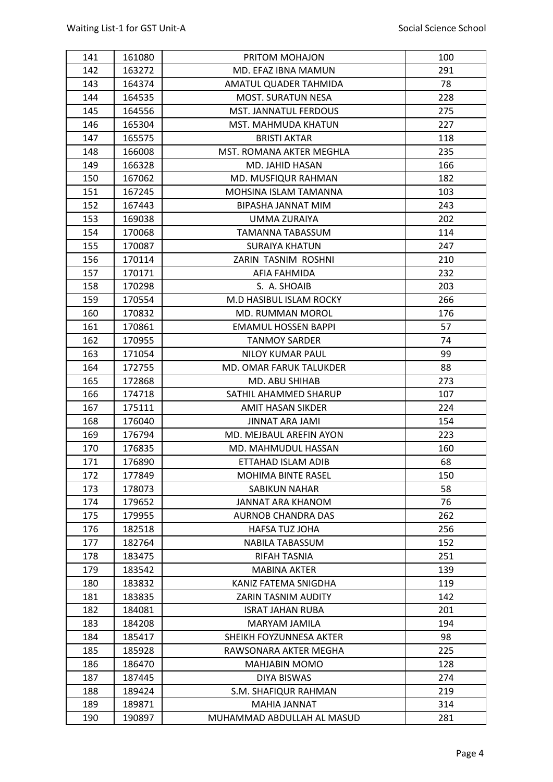| 141 | 161080 | PRITOM MOHAJON               | 100        |
|-----|--------|------------------------------|------------|
| 142 | 163272 | MD. EFAZ IBNA MAMUN          | 291        |
| 143 | 164374 | AMATUL QUADER TAHMIDA        | 78         |
| 144 | 164535 | <b>MOST. SURATUN NESA</b>    | 228        |
| 145 | 164556 | <b>MST. JANNATUL FERDOUS</b> | 275        |
| 146 | 165304 | MST. MAHMUDA KHATUN          | 227        |
| 147 | 165575 | <b>BRISTI AKTAR</b>          | 118        |
| 148 | 166008 | MST. ROMANA AKTER MEGHLA     | 235        |
| 149 | 166328 | <b>MD. JAHID HASAN</b>       | 166        |
| 150 | 167062 | MD. MUSFIQUR RAHMAN          | 182        |
| 151 | 167245 | MOHSINA ISLAM TAMANNA        | 103        |
| 152 | 167443 | BIPASHA JANNAT MIM           | 243        |
| 153 | 169038 | UMMA ZURAIYA                 | 202        |
| 154 | 170068 | <b>TAMANNA TABASSUM</b>      | 114        |
| 155 | 170087 | <b>SURAIYA KHATUN</b>        | 247        |
| 156 | 170114 | ZARIN TASNIM ROSHNI          | 210        |
| 157 | 170171 | AFIA FAHMIDA                 | 232        |
| 158 | 170298 | S. A. SHOAIB                 | 203        |
| 159 | 170554 | M.D HASIBUL ISLAM ROCKY      | 266        |
| 160 | 170832 | <b>MD. RUMMAN MOROL</b>      | 176        |
| 161 | 170861 | <b>EMAMUL HOSSEN BAPPI</b>   | 57         |
| 162 | 170955 | <b>TANMOY SARDER</b>         | 74         |
| 163 | 171054 | <b>NILOY KUMAR PAUL</b>      | 99         |
| 164 | 172755 | MD. OMAR FARUK TALUKDER      | 88         |
| 165 | 172868 | MD. ABU SHIHAB               | 273        |
| 166 | 174718 | SATHIL AHAMMED SHARUP        | 107        |
| 167 | 175111 | AMIT HASAN SIKDER            | 224        |
| 168 | 176040 | <b>JINNAT ARA JAMI</b>       | 154        |
| 169 | 176794 | MD. MEJBAUL AREFIN AYON      | 223        |
| 170 | 176835 | MD. MAHMUDUL HASSAN          | 160        |
| 171 | 176890 | ETTAHAD ISLAM ADIB           | 68         |
| 172 | 177849 | <b>MOHIMA BINTE RASEL</b>    | 150        |
| 173 | 178073 | SABIKUN NAHAR                | 58         |
| 174 | 179652 | JANNAT ARA KHANOM            | 76         |
| 175 | 179955 | <b>AURNOB CHANDRA DAS</b>    | 262        |
| 176 | 182518 | <b>HAFSA TUZ JOHA</b>        | 256        |
| 177 | 182764 | NABILA TABASSUM              | 152        |
| 178 | 183475 | <b>RIFAH TASNIA</b>          | 251        |
| 179 | 183542 | <b>MABINA AKTER</b>          | 139        |
| 180 | 183832 | KANIZ FATEMA SNIGDHA         | 119        |
|     |        |                              | 142        |
| 181 | 183835 | ZARIN TASNIM AUDITY          |            |
| 182 | 184081 | <b>ISRAT JAHAN RUBA</b>      | 201<br>194 |
| 183 | 184208 | MARYAM JAMILA                |            |
| 184 | 185417 | SHEIKH FOYZUNNESA AKTER      | 98<br>225  |
| 185 | 185928 | RAWSONARA AKTER MEGHA        |            |
| 186 | 186470 | MAHJABIN MOMO                | 128        |
| 187 | 187445 | <b>DIYA BISWAS</b>           | 274        |
| 188 | 189424 | S.M. SHAFIQUR RAHMAN         | 219        |
| 189 | 189871 | MAHIA JANNAT                 | 314        |
| 190 | 190897 | MUHAMMAD ABDULLAH AL MASUD   | 281        |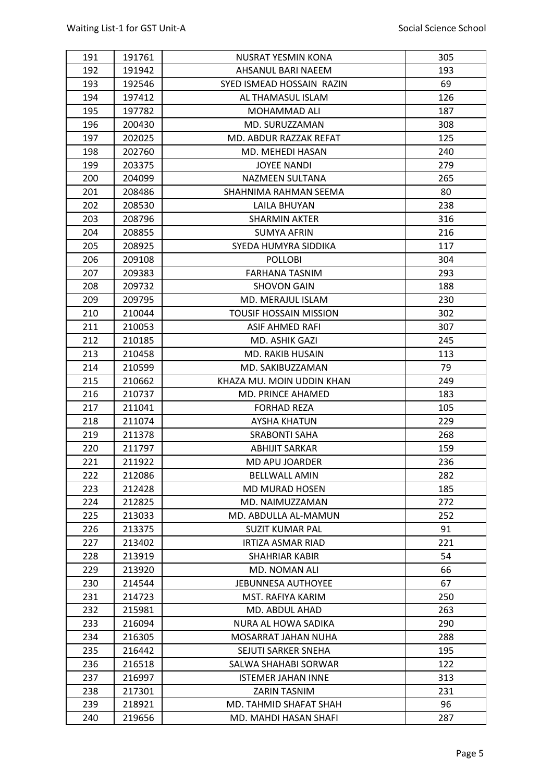| 191 | 191761 | NUSRAT YESMIN KONA        | 305 |
|-----|--------|---------------------------|-----|
| 192 | 191942 | AHSANUL BARI NAEEM        | 193 |
| 193 | 192546 | SYED ISMEAD HOSSAIN RAZIN | 69  |
| 194 | 197412 | AL THAMASUL ISLAM         | 126 |
| 195 | 197782 | MOHAMMAD ALI              | 187 |
| 196 | 200430 | MD. SURUZZAMAN            | 308 |
| 197 | 202025 | MD. ABDUR RAZZAK REFAT    | 125 |
| 198 | 202760 | MD. MEHEDI HASAN          | 240 |
| 199 | 203375 | <b>JOYEE NANDI</b>        | 279 |
| 200 | 204099 | <b>NAZMEEN SULTANA</b>    | 265 |
| 201 | 208486 | SHAHNIMA RAHMAN SEEMA     | 80  |
| 202 | 208530 | LAILA BHUYAN              | 238 |
| 203 | 208796 | <b>SHARMIN AKTER</b>      | 316 |
| 204 | 208855 | <b>SUMYA AFRIN</b>        | 216 |
| 205 | 208925 | SYEDA HUMYRA SIDDIKA      | 117 |
| 206 | 209108 | <b>POLLOBI</b>            | 304 |
| 207 | 209383 | <b>FARHANA TASNIM</b>     | 293 |
| 208 | 209732 | <b>SHOVON GAIN</b>        | 188 |
| 209 | 209795 | MD. MERAJUL ISLAM         | 230 |
| 210 | 210044 | TOUSIF HOSSAIN MISSION    | 302 |
| 211 | 210053 | ASIF AHMED RAFI           | 307 |
| 212 | 210185 | MD. ASHIK GAZI            | 245 |
| 213 | 210458 | <b>MD. RAKIB HUSAIN</b>   | 113 |
| 214 | 210599 | MD. SAKIBUZZAMAN          | 79  |
| 215 | 210662 | KHAZA MU. MOIN UDDIN KHAN | 249 |
| 216 | 210737 | MD. PRINCE AHAMED         | 183 |
| 217 | 211041 | <b>FORHAD REZA</b>        | 105 |
| 218 | 211074 | <b>AYSHA KHATUN</b>       | 229 |
| 219 | 211378 | <b>SRABONTI SAHA</b>      | 268 |
| 220 | 211797 | <b>ABHIJIT SARKAR</b>     | 159 |
| 221 | 211922 | <b>MD APU JOARDER</b>     | 236 |
| 222 | 212086 | <b>BELLWALL AMIN</b>      | 282 |
| 223 | 212428 | <b>MD MURAD HOSEN</b>     | 185 |
| 224 | 212825 | MD. NAIMUZZAMAN           | 272 |
| 225 | 213033 | MD. ABDULLA AL-MAMUN      | 252 |
| 226 | 213375 | <b>SUZIT KUMAR PAL</b>    | 91  |
| 227 | 213402 | IRTIZA ASMAR RIAD         | 221 |
| 228 | 213919 | <b>SHAHRIAR KABIR</b>     | 54  |
| 229 | 213920 | MD. NOMAN ALI             | 66  |
| 230 | 214544 | <b>JEBUNNESA AUTHOYEE</b> | 67  |
| 231 | 214723 | MST. RAFIYA KARIM         | 250 |
| 232 | 215981 | MD. ABDUL AHAD            | 263 |
| 233 | 216094 | NURA AL HOWA SADIKA       | 290 |
| 234 | 216305 | MOSARRAT JAHAN NUHA       | 288 |
| 235 | 216442 | SEJUTI SARKER SNEHA       | 195 |
| 236 | 216518 | SALWA SHAHABI SORWAR      | 122 |
| 237 | 216997 | <b>ISTEMER JAHAN INNE</b> | 313 |
| 238 | 217301 | <b>ZARIN TASNIM</b>       | 231 |
| 239 | 218921 | MD. TAHMID SHAFAT SHAH    | 96  |
| 240 | 219656 | MD. MAHDI HASAN SHAFI     | 287 |
|     |        |                           |     |